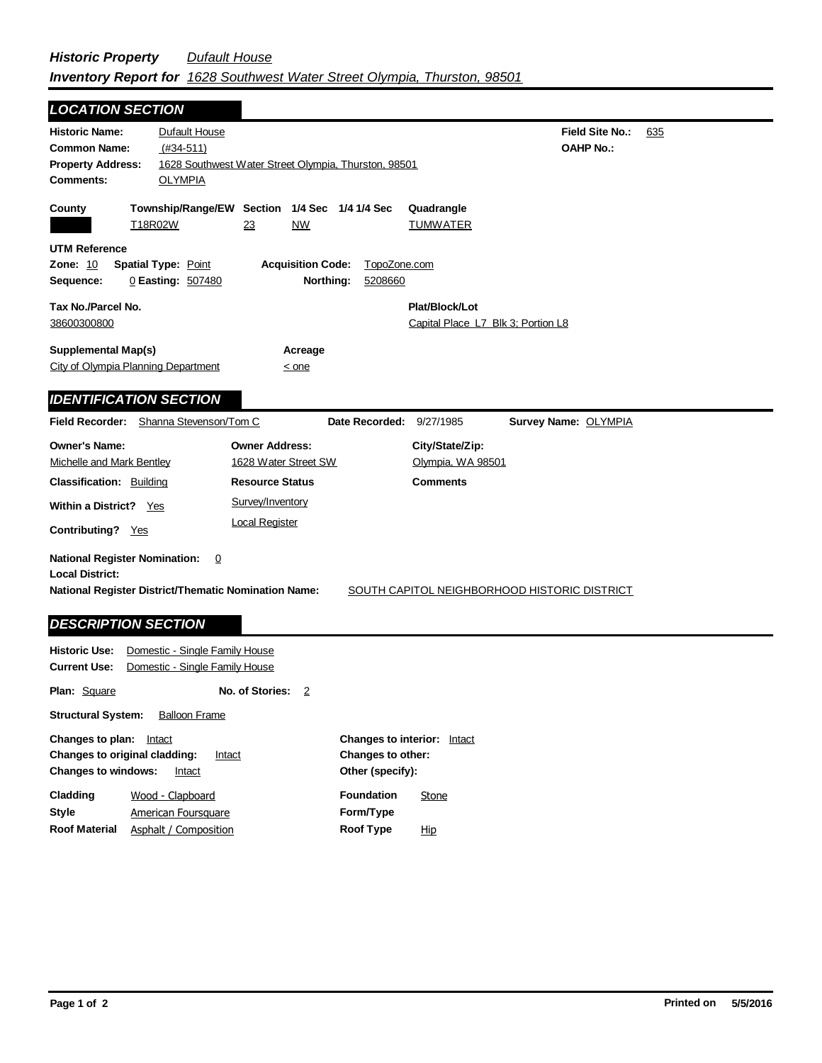## *Historic Property Dufault House Inventory Report for 1628 Southwest Water Street Olympia, Thurston, 98501*

| <b>LOCATION SECTION</b>                                                                                     |                                                   |                                                                  |                |                               |                        |     |
|-------------------------------------------------------------------------------------------------------------|---------------------------------------------------|------------------------------------------------------------------|----------------|-------------------------------|------------------------|-----|
| <b>Historic Name:</b>                                                                                       | <b>Dufault House</b>                              |                                                                  |                |                               | <b>Field Site No.:</b> | 635 |
| <b>Common Name:</b><br>$(#34-511)$                                                                          |                                                   |                                                                  |                |                               | <b>OAHP No.:</b>       |     |
| <b>Property Address:</b>                                                                                    |                                                   | 1628 Southwest Water Street Olympia, Thurston, 98501             |                |                               |                        |     |
| Comments:                                                                                                   | <b>OLYMPIA</b>                                    |                                                                  |                |                               |                        |     |
| County                                                                                                      | T18R02W                                           | Township/Range/EW Section 1/4 Sec 1/4 1/4 Sec<br>23<br><b>NW</b> |                | Quadrangle<br><b>TUMWATER</b> |                        |     |
| <b>UTM Reference</b>                                                                                        |                                                   |                                                                  |                |                               |                        |     |
| Zone: 10                                                                                                    | <b>Spatial Type: Point</b>                        | <b>Acquisition Code:</b>                                         | TopoZone.com   |                               |                        |     |
| 0 Easting: 507480<br>Northing:<br>5208660<br>Sequence:                                                      |                                                   |                                                                  |                |                               |                        |     |
|                                                                                                             |                                                   |                                                                  |                | Plat/Block/Lot                |                        |     |
| Tax No./Parcel No.                                                                                          |                                                   |                                                                  |                |                               |                        |     |
|                                                                                                             | 38600300800<br>Capital Place L7 Blk 3; Portion L8 |                                                                  |                |                               |                        |     |
| <b>Supplemental Map(s)</b>                                                                                  |                                                   | Acreage                                                          |                |                               |                        |     |
| City of Olympia Planning Department                                                                         |                                                   | $<$ one                                                          |                |                               |                        |     |
|                                                                                                             |                                                   |                                                                  |                |                               |                        |     |
| <b>IDENTIFICATION SECTION</b>                                                                               |                                                   |                                                                  |                |                               |                        |     |
| Field Recorder: Shanna Stevenson/Tom C                                                                      |                                                   |                                                                  | Date Recorded: | 9/27/1985                     | Survey Name: OLYMPIA   |     |
| <b>Owner's Name:</b>                                                                                        |                                                   | <b>Owner Address:</b>                                            |                | City/State/Zip:               |                        |     |
| Michelle and Mark Bentley                                                                                   |                                                   | 1628 Water Street SW                                             |                | Olympia, WA 98501             |                        |     |
| <b>Classification: Building</b>                                                                             |                                                   | <b>Resource Status</b>                                           |                | <b>Comments</b>               |                        |     |
|                                                                                                             |                                                   | Survey/Inventory                                                 |                |                               |                        |     |
| Within a District? Yes                                                                                      |                                                   |                                                                  |                |                               |                        |     |
| <b>Contributing?</b> Yes                                                                                    |                                                   | <b>Local Register</b>                                            |                |                               |                        |     |
| <b>National Register Nomination:</b><br>$\overline{0}$<br><b>Local District:</b>                            |                                                   |                                                                  |                |                               |                        |     |
| SOUTH CAPITOL NEIGHBORHOOD HISTORIC DISTRICT<br><b>National Register District/Thematic Nomination Name:</b> |                                                   |                                                                  |                |                               |                        |     |
| <b>DESCRIPTION SECTION</b>                                                                                  |                                                   |                                                                  |                |                               |                        |     |
| Domestic - Single Family House<br><b>Historic Use:</b>                                                      |                                                   |                                                                  |                |                               |                        |     |
| Domestic - Single Family House<br>Current Use:                                                              |                                                   |                                                                  |                |                               |                        |     |

**Other (specify):**

**Foundation**

**Form/Type Roof Type**

**Changes to other:**

**Changes to interior:** Intact

**Stone** 

Hip

**No. of Stories:** 2

**Plan:** Square

**Structural System:** Balloon Frame

**Changes to original cladding:** Intact **Changes to windows:** Intact

> American Foursquare Wood - Clapboard

Asphalt / Composition

**Changes to plan:** Intact

**Style**

**Cladding**

**Roof Material**